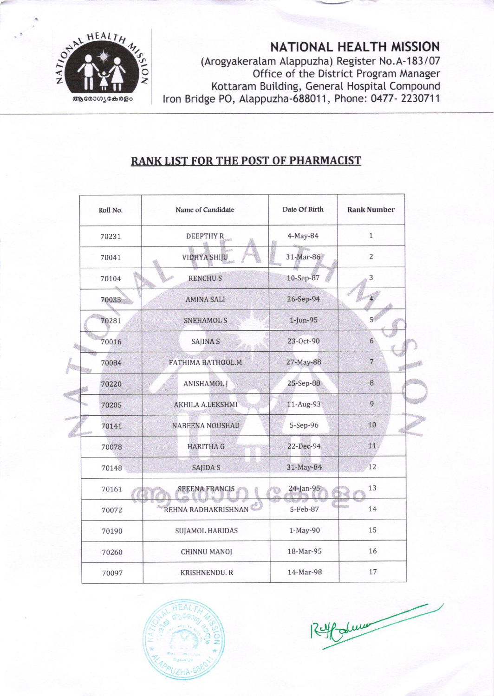

NATIONAL HEALTH MISSION (Arogyakeralam Alappuzha) Register No.A-183/07 Office of the District Program Manager Kottaram Building, General Hospital Compound Iron Bridge PO, Alappuzha-688011, Phone: 0477-2230711

## **RANK LIST FOR THE POST OF PHARMACIST**

| Roll No. | Name of Candidate       | Date Of Birth | <b>Rank Number</b> |
|----------|-------------------------|---------------|--------------------|
| 70231    | <b>DEEPTHYR</b>         | 4-May-84      | $\mathbf{1}$       |
| 70041    | <b>VIDHYA SHIJU</b>     | 31-Mar-86     | $\overline{2}$     |
| 70104    | <b>RENCHUS</b>          | 10-Sep-87     | 3                  |
| 70033    | <b>AMINA SALI</b>       | 26-Sep-94     |                    |
| 70281    | <b>SNEHAMOL S</b>       | 1-Jun-95      | 5 <sup>′</sup>     |
| 70016    | SAJINA <sub>S</sub>     | 23-Oct-90     | $6\overline{6}$    |
| 70084    | FATHIMA BATHOOL.M       | 27-May-88     | $\overline{7}$     |
| 70220    | <b>ANISHAMOL J</b>      | 25-Sep-88     | $\, 8$             |
| 70205    | <b>AKHILA A.LEKSHMI</b> | 11-Aug-93     | 9                  |
| 70141    | <b>NABEENA NOUSHAD</b>  | 5-Sep-96      | 10                 |
| 70078    | <b>HARITHA G</b>        | 22-Dec-94     | 11                 |
| 70148    | <b>SAJIDA S</b>         | 31-May-84     | 12                 |
| 70161    | <b>SEEENA FRANCIS</b>   | 24-Jan-95     | 13                 |
| 70072    | REHNA RADHAKRISHNAN     | 5-Feb-87      | 14                 |
| 70190    | <b>SUJAMOL HARIDAS</b>  | 1-May-90      | 15                 |
| 70260    | <b>CHINNU MANOJ</b>     | 18-Mar-95     | 16                 |
| 70097    | <b>KRISHNENDU. R</b>    | 14-Mar-98     | 17                 |



Folumer